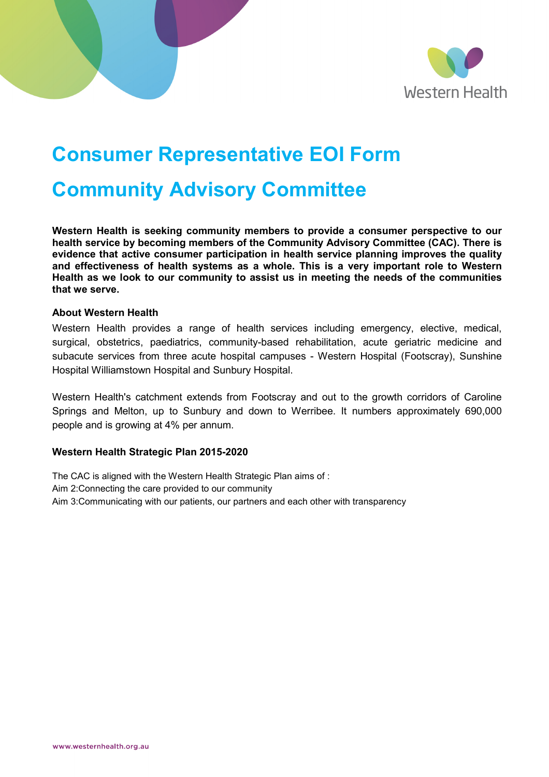

# **Consumer Representative EOI Form**

## **Community Advisory Committee**

**Western Health is seeking community members to provide a consumer perspective to our health service by becoming members of the Community Advisory Committee (CAC). There is evidence that active consumer participation in health service planning improves the quality and effectiveness of health systems as a whole. This is a very important role to Western Health as we look to our community to assist us in meeting the needs of the communities that we serve.**

#### **About Western Health**

Western Health provides a range of health services including emergency, elective, medical, surgical, obstetrics, paediatrics, community-based rehabilitation, acute geriatric medicine and subacute services from three acute hospital campuses - Western Hospital (Footscray), Sunshine Hospital Williamstown Hospital and Sunbury Hospital.

Western Health's catchment extends from Footscray and out to the growth corridors of Caroline Springs and Melton, up to Sunbury and down to Werribee. It numbers approximately 690,000 people and is growing at 4% per annum.

#### **Western Health Strategic Plan 2015-2020**

The CAC is aligned with the Western Health Strategic Plan aims of : Aim 2:Connecting the care provided to our community Aim 3:Communicating with our patients, our partners and each other with transparency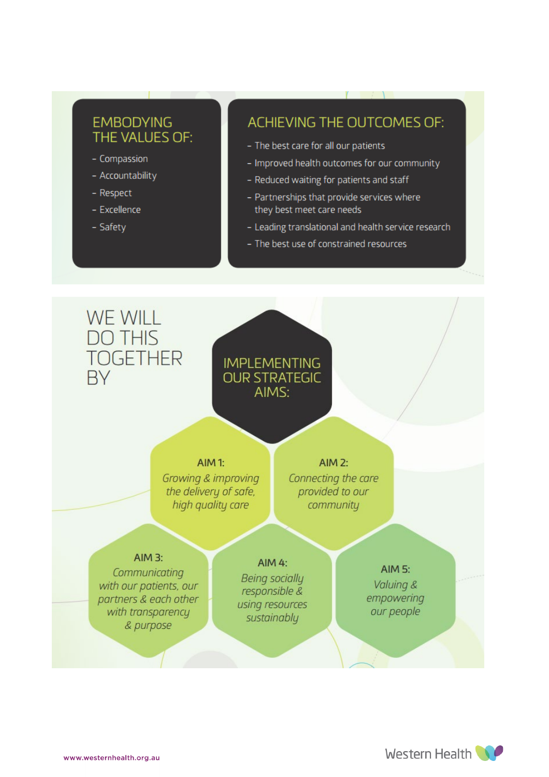## **EMBODYING** THE VALUES OF:

- Compassion
- Accountability
- Respect
- Excellence
- Safety

### ACHIEVING THE OUTCOMES OF:

- The best care for all our patients
- Improved health outcomes for our community
- Reduced waiting for patients and staff
- Partnerships that provide services where they best meet care needs
- Leading translational and health service research
- The best use of constrained resources



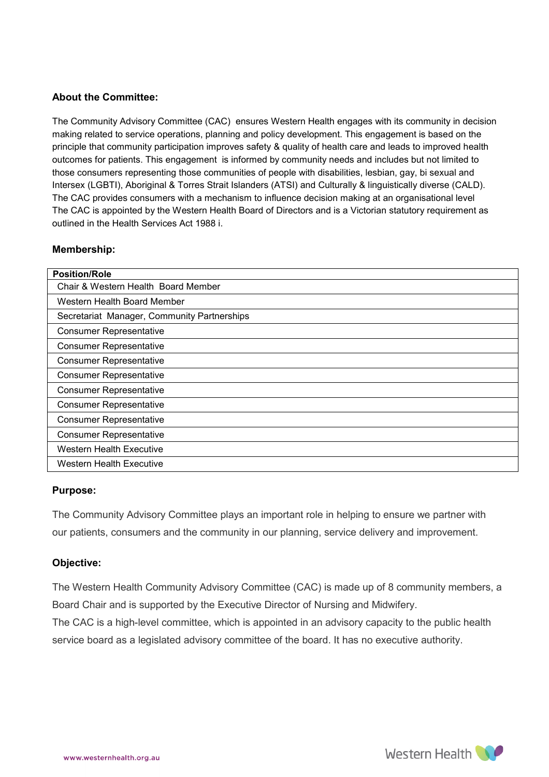#### **About the Committee:**

The Community Advisory Committee (CAC) ensures Western Health engages with its community in decision making related to service operations, planning and policy development. This engagement is based on the principle that community participation improves safety & quality of health care and leads to improved health outcomes for patients. This engagement is informed by community needs and includes but not limited to those consumers representing those communities of people with disabilities, lesbian, gay, bi sexual and Intersex (LGBTI), Aboriginal & Torres Strait Islanders (ATSI) and Culturally & linguistically diverse (CALD). The CAC provides consumers with a mechanism to influence decision making at an organisational level The CAC is appointed by the Western Health Board of Directors and is a Victorian statutory requirement as outlined in the Health Services Act 1988 i.

#### **Membership:**

| <b>Position/Role</b>                        |
|---------------------------------------------|
| Chair & Western Health Board Member         |
| Western Health Board Member                 |
| Secretariat Manager, Community Partnerships |
| <b>Consumer Representative</b>              |
| <b>Consumer Representative</b>              |
| <b>Consumer Representative</b>              |
| <b>Consumer Representative</b>              |
| <b>Consumer Representative</b>              |
| <b>Consumer Representative</b>              |
| <b>Consumer Representative</b>              |
| <b>Consumer Representative</b>              |
| <b>Western Health Executive</b>             |
| <b>Western Health Executive</b>             |

#### **Purpose:**

The Community Advisory Committee plays an important role in helping to ensure we partner with our patients, consumers and the community in our planning, service delivery and improvement.

#### **Objective:**

The Western Health Community Advisory Committee (CAC) is made up of 8 community members, a Board Chair and is supported by the Executive Director of Nursing and Midwifery.

The CAC is a high-level committee, which is appointed in an advisory capacity to the public health service board as a legislated advisory committee of the board. It has no executive authority.

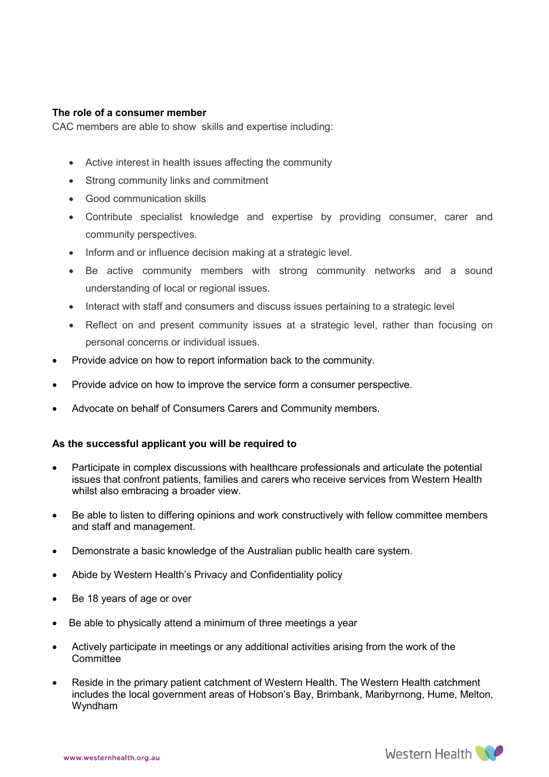#### **The role of a consumer member**

CAC members are able to show skills and expertise including:

- Active interest in health issues affecting the community
- Strong community links and commitment
- Good communication skills
- Contribute specialist knowledge and expertise by providing consumer, carer and community perspectives.
- Inform and or influence decision making at a strategic level.
- Be active community members with strong community networks and a sound understanding of local or regional issues.
- Interact with staff and consumers and discuss issues pertaining to a strategic level
- Reflect on and present community issues at a strategic level, rather than focusing on personal concerns or individual issues.
- Provide advice on how to report information back to the community.
- Provide advice on how to improve the service form a consumer perspective.
- Advocate on behalf of Consumers Carers and Community members.

#### **As the successful applicant you will be required to**

- Participate in complex discussions with healthcare professionals and articulate the potential issues that confront patients, families and carers who receive services from Western Health whilst also embracing a broader view.
- Be able to listen to differing opinions and work constructively with fellow committee members and staff and management.
- Demonstrate a basic knowledge of the Australian public health care system.
- Abide by Western Health's Privacy and Confidentiality policy
- Be 18 years of age or over
- Be able to physically attend a minimum of three meetings a year
- Actively participate in meetings or any additional activities arising from the work of the **Committee**
- Reside in the primary patient catchment of Western Health. The Western Health catchment includes the local government areas of Hobson's Bay, Brimbank, Maribyrnong, Hume, Melton, Wyndham